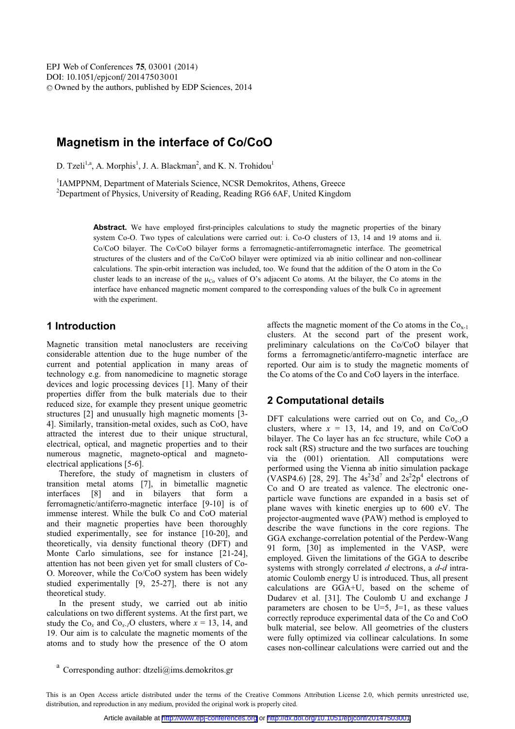# **Magnetism in the interface of Co/CoO**

D. Tzeli<sup>1,a</sup>, A. Morphis<sup>1</sup>, J. A. Blackman<sup>2</sup>, and K. N. Trohidou<sup>1</sup>

<sup>1</sup>IAMPPNM, Department of Materials Science, NCSR Demokritos, Athens, Greece <sup>2</sup><br><sup>2</sup>Department of Physics, University of Peading, Peading PG6.6AE, United Kingdom <sup>2</sup>Department of Physics, University of Reading, Reading RG6 6AF, United Kingdom

> Abstract. We have employed first-principles calculations to study the magnetic properties of the binary system Co-O. Two types of calculations were carried out: i. Co-O clusters of 13, 14 and 19 atoms and ii. Co/CoO bilayer. The Co/CoO bilayer forms a ferromagnetic-antiferromagnetic interface. The geometrical structures of the clusters and of the Co/CoO bilayer were optimized via ab initio collinear and non-collinear calculations. The spin-orbit interaction was included, too. We found that the addition of the O atom in the Co cluster leads to an increase of the  $\mu_{Co}$  values of O's adjacent Co atoms. At the bilayer, the Co atoms in the interface have enhanced magnetic moment compared to the corresponding values of the bulk Co in agreement with the experiment.

## **1 Introduction**

Magnetic transition metal nanoclusters are receiving considerable attention due to the huge number of the current and potential application in many areas of technology e.g. from nanomedicine to magnetic storage devices and logic processing devices [1]. Many of their properties differ from the bulk materials due to their reduced size, for example they present unique geometric structures [2] and unusually high magnetic moments [3- 4]. Similarly, transition-metal oxides, such as CoO, have attracted the interest due to their unique structural, electrical, optical, and magnetic properties and to their numerous magnetic, magneto-optical and magnetoelectrical applications [5-6].

Therefore, the study of magnetism in clusters of transition metal atoms [7], in bimetallic magnetic interfaces [8] and in bilayers that form a ferromagnetic/antiferro-magnetic interface [9-10] is of immense interest. While the bulk Co and CoO material and their magnetic properties have been thoroughly studied experimentally, see for instance [10-20], and theoretically, via density functional theory (DFT) and Monte Carlo simulations, see for instance [21-24], attention has not been given yet for small clusters of Co-O. Moreover, while the Co/CoO system has been widely studied experimentally [9, 25-27], there is not any theoretical study.

In the present study, we carried out ab initio calculations on two different systems. At the first part, we study the  $Co_x$  and  $Co_{x-1}O$  clusters, where  $x = 13, 14,$  and 19. Our aim is to calculate the magnetic moments of the atoms and to study how the presence of the O atom affects the magnetic moment of the Co atoms in the  $Co<sub>x-1</sub>$ clusters. At the second part of the present work, preliminary calculations on the Co/CoO bilayer that forms a ferromagnetic/antiferro-magnetic interface are reported. Our aim is to study the magnetic moments of the Co atoms of the Co and CoO layers in the interface.

## **2 Computational details**

DFT calculations were carried out on  $Co_x$  and  $Co_{x-1}O$ clusters, where  $x = 13$ , 14, and 19, and on Co/CoO bilayer. The Co layer has an fcc structure, while CoO a rock salt (RS) structure and the two surfaces are touching via the (001) orientation. All computations were performed using the Vienna ab initio simulation package (VASP4.6) [28, 29]. The  $4s^23d^7$  and  $2s^22p^4$  electrons of Co and O are treated as valence. The electronic oneparticle wave functions are expanded in a basis set of plane waves with kinetic energies up to 600 eV. The projector-augmented wave (PAW) method is employed to describe the wave functions in the core regions. The GGA exchange-correlation potential of the Perdew-Wang 91 form, [30] as implemented in the VASP, were employed. Given the limitations of the GGA to describe systems with strongly correlated *d* electrons, a *d*-*d* intraatomic Coulomb energy U is introduced. Thus, all present calculations are GGA+U, based on the scheme of Dudarev et al. [31]. The Coulomb U and exchange J parameters are chosen to be  $U=5$ ,  $J=1$ , as these values correctly reproduce experimental data of the Co and CoO bulk material, see below. All geometries of the clusters were fully optimized via collinear calculations. In some cases non-collinear calculations were carried out and the

<sup>&</sup>lt;sup>a</sup> Corresponding author: dtzeli@ims.demokritos.gr

This is an Open Access article distributed under the terms of the Creative Commons Attribution License 2.0, which permits unrestricted use, distribution, and reproduction in any medium, provided the original work is properly cited.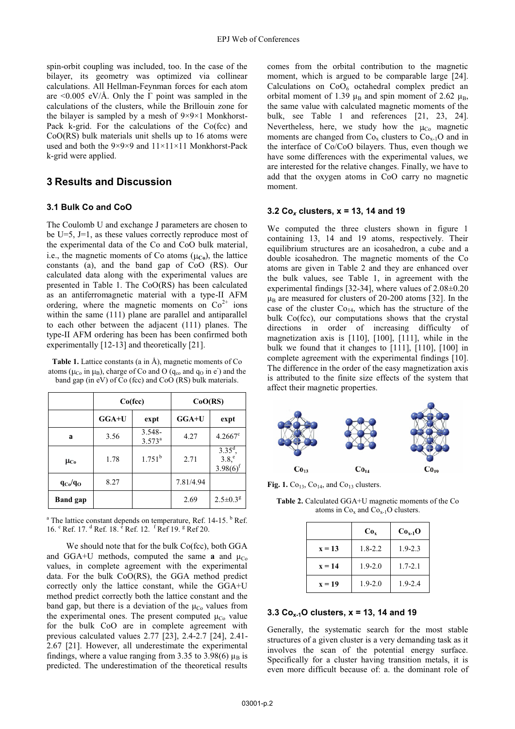spin-orbit coupling was included, too. In the case of the bilayer, its geometry was optimized via collinear calculations. All Hellman-Feynman forces for each atom are  $\langle 0.005 \text{ eV/A}$ . Only the Γ point was sampled in the calculations of the clusters, while the Brillouin zone for the bilayer is sampled by a mesh of 9×9×1 Monkhorst-Pack k-grid. For the calculations of the Co(fcc) and CoO(RS) bulk materials unit shells up to 16 atoms were used and both the 9×9×9 and 11×11×11 Monkhorst-Pack k-grid were applied.

## **3 Results and Discussion**

#### **3.1 Bulk Co and CoO**

The Coulomb U and exchange J parameters are chosen to be U=5, J=1, as these values correctly reproduce most of the experimental data of the Co and CoO bulk material, i.e., the magnetic moments of Co atoms  $(\mu_{\text{Co}})$ , the lattice constants (a), and the band gap of CoO (RS). Our calculated data along with the experimental values are presented in Table 1. The CoO(RS) has been calculated as an antiferromagnetic material with a type-II AFM ordering, where the magnetic moments on  $Co<sup>2+</sup>$  ions within the same (111) plane are parallel and antiparallel to each other between the adjacent (111) planes. The type-II AFM ordering has been has been confirmed both experimentally [12-13] and theoretically [21].

**Table 1.** Lattice constants (a in Å), magnetic moments of Co atoms ( $\mu_{Co}$  in  $\mu_B$ ), charge of Co and O ( $q_{co}$  and  $q_O$  in e) and the band gap (in eV) of Co (fcc) and CoO (RS) bulk materials.

|                 | Co(fcc) |                              | CoO(RS)   |                                                |
|-----------------|---------|------------------------------|-----------|------------------------------------------------|
|                 | $GGA+U$ | expt                         | $GGA+U$   | expt                                           |
| a               | 3.56    | $3.548 -$<br>$3.573^{\circ}$ | 4.27      | $4.2667^{\circ}$                               |
| $\mu_{Co}$      | 1.78    | $1.751^b$                    | 2.71      | $3.35^d$ ,<br>3.8, <sup>e</sup><br>$3.98(6)^f$ |
| $q_{Co}/q_{O}$  | 8.27    |                              | 7.81/4.94 |                                                |
| <b>Band</b> gap |         |                              | 2.69      | $2.5 \pm 0.3$ <sup>g</sup>                     |

<sup>a</sup> The lattice constant depends on temperature, Ref. 14-15. <sup>b</sup> Ref. 16. <sup>c</sup> Ref. 17. <sup>d</sup> Ref. 18. <sup>e</sup> Ref. 12. <sup>f</sup> Ref 19. <sup>g</sup> Ref 20.

We should note that for the bulk Co(fcc), both GGA and GGA+U methods, computed the same **a** and  $\mu_{Co}$ values, in complete agreement with the experimental data. For the bulk CoO(RS), the GGA method predict correctly only the lattice constant, while the GGA+U method predict correctly both the lattice constant and the band gap, but there is a deviation of the  $\mu_{\text{Co}}$  values from the experimental ones. The present computed  $\mu_{Co}$  value for the bulk CoO are in complete agreement with previous calculated values 2.77 [23], 2.4-2.7 [24], 2.41- 2.67 [21]. However, all underestimate the experimental findings, where a value ranging from 3.35 to 3.98(6)  $\mu_B$  is predicted. The underestimation of the theoretical results

comes from the orbital contribution to the magnetic moment, which is argued to be comparable large [24]. Calculations on  $CoO<sub>6</sub>$  octahedral complex predict an orbital moment of 1.39 μ<sub>B</sub> and spin moment of 2.62 μ<sub>B</sub>, the same value with calculated magnetic moments of the bulk, see Table 1 and references [21, 23, 24]. Nevertheless, here, we study how the  $\mu_{Co}$  magnetic moments are changed from  $Co_x$  clusters to  $Co_{x-1}O$  and in the interface of Co/CoO bilayers. Thus, even though we have some differences with the experimental values, we are interested for the relative changes. Finally, we have to add that the oxygen atoms in CoO carry no magnetic moment.

#### **3.2 Co***x* **clusters, x = 13, 14 and 19**

We computed the three clusters shown in figure 1 containing 13, 14 and 19 atoms, respectively. Their equilibrium structures are an icosahedron, a cube and a double icosahedron. The magnetic moments of the Co atoms are given in Table 2 and they are enhanced over the bulk values, see Table 1, in agreement with the experimental findings [32-34], where values of 2.08±0.20  $\mu_B$  are measured for clusters of 20-200 atoms [32]. In the case of the cluster  $Co<sub>14</sub>$ , which has the structure of the bulk Co(fcc), our computations shows that the crystal directions in order of increasing difficulty of magnetization axis is [110], [100], [111], while in the bulk we found that it changes to [111], [110], [100] in complete agreement with the experimental findings [10]. The difference in the order of the easy magnetization axis is attributed to the finite size effects of the system that affect their magnetic properties.



**Fig. 1.**  $Co<sub>13</sub>$ ,  $Co<sub>14</sub>$ , and  $Co<sub>13</sub>$  clusters.

**Table 2.** Calculated GGA+U magnetic moments of the Co atoms in  $Co_x$  and  $Co_{x-1}O$  clusters.

|          | Co <sub>x</sub> | $Cox-1O$    |
|----------|-----------------|-------------|
| $x = 13$ | $1.8 - 2.2$     | $1.9 - 2.3$ |
| $x = 14$ | $1.9 - 2.0$     | $1.7 - 2.1$ |
| $x = 19$ | $1.9 - 2.0$     | $1.9 - 2.4$ |

#### **3.3 Cox-1O clusters, x = 13, 14 and 19**

Generally, the systematic search for the most stable structures of a given cluster is a very demanding task as it involves the scan of the potential energy surface. Specifically for a cluster having transition metals, it is even more difficult because of: a. the dominant role of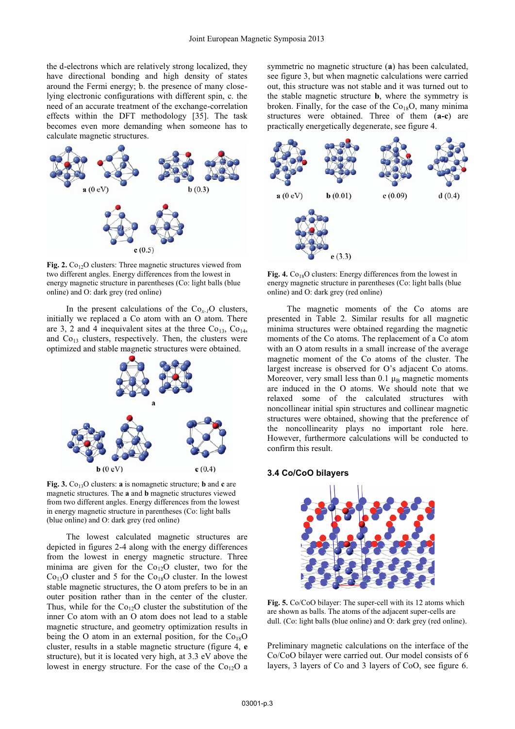the d-electrons which are relatively strong localized, they have directional bonding and high density of states around the Fermi energy; b. the presence of many closelying electronic configurations with different spin, c. the need of an accurate treatment of the exchange-correlation effects within the DFT methodology [35]. The task becomes even more demanding when someone has to calculate magnetic structures.



**Fig. 2.**  $Co_{12}O$  clusters: Three magnetic structures viewed from two different angles. Energy differences from the lowest in energy magnetic structure in parentheses (Co: light balls (blue online) and O: dark grey (red online)

In the present calculations of the  $Co_{x-1}O$  clusters, initially we replaced a Co atom with an O atom. There are 3, 2 and 4 inequivalent sites at the three  $Co<sub>13</sub>, Co<sub>14</sub>$ , and  $Co_{13}$  clusters, respectively. Then, the clusters were optimized and stable magnetic structures were obtained.



**Fig. 3.**  $Co_{13}O$  clusters: **a** is nomagnetic structure; **b** and **c** are magnetic structures. The **a** and **b** magnetic structures viewed from two different angles. Energy differences from the lowest in energy magnetic structure in parentheses (Co: light balls (blue online) and O: dark grey (red online)

The lowest calculated magnetic structures are depicted in figures 2-4 along with the energy differences from the lowest in energy magnetic structure. Three minima are given for the  $Co_{12}O$  cluster, two for the  $Co<sub>13</sub>O$  cluster and 5 for the  $Co<sub>18</sub>O$  cluster. In the lowest stable magnetic structures, the O atom prefers to be in an outer position rather than in the center of the cluster. Thus, while for the  $Co_{12}O$  cluster the substitution of the inner Co atom with an O atom does not lead to a stable magnetic structure, and geometry optimization results in being the O atom in an external position, for the  $Co_{18}O$ cluster, results in a stable magnetic structure (figure 4, **e** structure), but it is located very high, at 3.3 eV above the lowest in energy structure. For the case of the  $Co<sub>12</sub>O$  a

symmetric no magnetic structure (**a**) has been calculated, see figure 3, but when magnetic calculations were carried out, this structure was not stable and it was turned out to the stable magnetic structure **b**, where the symmetry is broken. Finally, for the case of the  $Co_{18}O$ , many minima structures were obtained. Three of them (**a-c**) are practically energetically degenerate, see figure 4.



**Fig. 4.**  $Co_{18}O$  clusters: Energy differences from the lowest in energy magnetic structure in parentheses (Co: light balls (blue online) and O: dark grey (red online)

The magnetic moments of the Co atoms are presented in Table 2. Similar results for all magnetic minima structures were obtained regarding the magnetic moments of the Co atoms. The replacement of a Co atom with an O atom results in a small increase of the average magnetic moment of the Co atoms of the cluster. The largest increase is observed for O's adjacent Co atoms. Moreover, very small less than 0.1  $\mu_B$  magnetic moments are induced in the O atoms. We should note that we relaxed some of the calculated structures with noncollinear initial spin structures and collinear magnetic structures were obtained, showing that the preference of the noncollinearity plays no important role here. However, furthermore calculations will be conducted to confirm this result.

#### **3.4 Co/CoO bilayers**



**Fig. 5.** Co/CoO bilayer: The super-cell with its 12 atoms which are shown as balls. The atoms of the adjacent super-cells are dull. (Co: light balls (blue online) and O: dark grey (red online).

Preliminary magnetic calculations on the interface of the Co/CoO bilayer were carried out. Our model consists of 6 layers, 3 layers of Co and 3 layers of CoO, see figure 6.